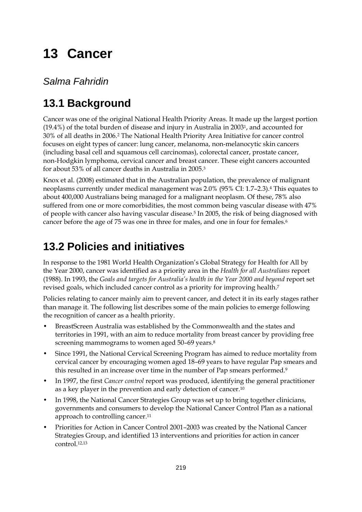# **13 Cancer**

*Salma Fahridin* 

## **13.1 Background**

Cancer was one of the original National Health Priority Areas. It made up the largest portion (19.4%) of the total burden of disease and injury in Australia in 20031, and accounted for 30% of all deaths in 2006.2 The National Health Priority Area Initiative for cancer control focuses on eight types of cancer: lung cancer, melanoma, non-melanocytic skin cancers (including basal cell and squamous cell carcinomas), colorectal cancer, prostate cancer, non-Hodgkin lymphoma, cervical cancer and breast cancer. These eight cancers accounted for about 53% of all cancer deaths in Australia in 2005.3

Knox et al. (2008) estimated that in the Australian population, the prevalence of malignant neoplasms currently under medical management was 2.0% (95% CI: 1.7–2.3).4 This equates to about 400,000 Australians being managed for a malignant neoplasm. Of these, 78% also suffered from one or more comorbidities, the most common being vascular disease with 47% of people with cancer also having vascular disease.5 In 2005, the risk of being diagnosed with cancer before the age of 75 was one in three for males, and one in four for females.6

### **13.2 Policies and initiatives**

In response to the 1981 World Health Organization's Global Strategy for Health for All by the Year 2000, cancer was identified as a priority area in the *Health for all Australians* report (1988). In 1993, the *Goals and targets for Australia's health in the Year 2000 and beyond* report set revised goals, which included cancer control as a priority for improving health.7

Policies relating to cancer mainly aim to prevent cancer, and detect it in its early stages rather than manage it. The following list describes some of the main policies to emerge following the recognition of cancer as a health priority.

- BreastScreen Australia was established by the Commonwealth and the states and territories in 1991, with an aim to reduce mortality from breast cancer by providing free screening mammograms to women aged 50-69 years.<sup>8</sup>
- Since 1991, the National Cervical Screening Program has aimed to reduce mortality from cervical cancer by encouraging women aged 18–69 years to have regular Pap smears and this resulted in an increase over time in the number of Pap smears performed.<sup>9</sup>
- In 1997, the first *Cancer control* report was produced, identifying the general practitioner as a key player in the prevention and early detection of cancer.10
- In 1998, the National Cancer Strategies Group was set up to bring together clinicians, governments and consumers to develop the National Cancer Control Plan as a national approach to controlling cancer.11
- Priorities for Action in Cancer Control 2001–2003 was created by the National Cancer Strategies Group, and identified 13 interventions and priorities for action in cancer control.12,13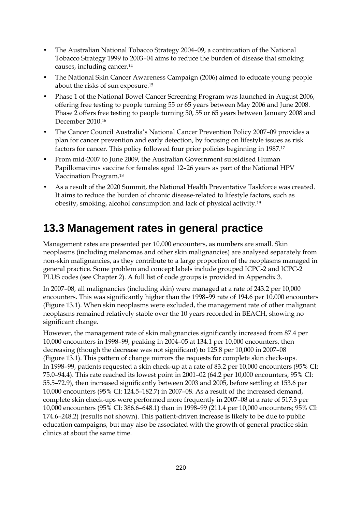- The Australian National Tobacco Strategy 2004–09, a continuation of the National Tobacco Strategy 1999 to 2003–04 aims to reduce the burden of disease that smoking causes, including cancer.14
- The National Skin Cancer Awareness Campaign (2006) aimed to educate young people about the risks of sun exposure.15
- Phase 1 of the National Bowel Cancer Screening Program was launched in August 2006, offering free testing to people turning 55 or 65 years between May 2006 and June 2008. Phase 2 offers free testing to people turning 50, 55 or 65 years between January 2008 and December 2010.16
- The Cancer Council Australia's National Cancer Prevention Policy 2007–09 provides a plan for cancer prevention and early detection, by focusing on lifestyle issues as risk factors for cancer. This policy followed four prior policies beginning in 1987.17
- From mid-2007 to June 2009, the Australian Government subsidised Human Papillomavirus vaccine for females aged 12–26 years as part of the National HPV Vaccination Program.18
- As a result of the 2020 Summit, the National Health Preventative Taskforce was created. It aims to reduce the burden of chronic disease-related to lifestyle factors, such as obesity, smoking, alcohol consumption and lack of physical activity.19

### **13.3 Management rates in general practice**

Management rates are presented per 10,000 encounters, as numbers are small. Skin neoplasms (including melanomas and other skin malignancies) are analysed separately from non-skin malignancies, as they contribute to a large proportion of the neoplasms managed in general practice. Some problem and concept labels include grouped ICPC-2 and ICPC-2 PLUS codes (see Chapter 2). A full list of code groups is provided in Appendix 3.

In 2007–08, all malignancies (including skin) were managed at a rate of 243.2 per 10,000 encounters. This was significantly higher than the 1998–99 rate of 194.6 per 10,000 encounters (Figure 13.1). When skin neoplasms were excluded, the management rate of other malignant neoplasms remained relatively stable over the 10 years recorded in BEACH, showing no significant change.

However, the management rate of skin malignancies significantly increased from 87.4 per 10,000 encounters in 1998–99, peaking in 2004–05 at 134.1 per 10,000 encounters, then decreasing (though the decrease was not significant) to 125.8 per 10,000 in 2007–08 (Figure 13.1). This pattern of change mirrors the requests for complete skin check-ups. In 1998–99, patients requested a skin check-up at a rate of 83.2 per 10,000 encounters (95% CI: 75.0–94.4). This rate reached its lowest point in 2001–02 (64.2 per 10,000 encounters, 95% CI: 55.5–72.9), then increased significantly between 2003 and 2005, before settling at 153.6 per 10,000 encounters (95% CI: 124.5–182.7) in 2007–08. As a result of the increased demand, complete skin check-ups were performed more frequently in 2007–08 at a rate of 517.3 per 10,000 encounters (95% CI: 386.6–648.1) than in 1998–99 (211.4 per 10,000 encounters; 95% CI: 174.6–248.2) (results not shown). This patient-driven increase is likely to be due to public education campaigns, but may also be associated with the growth of general practice skin clinics at about the same time.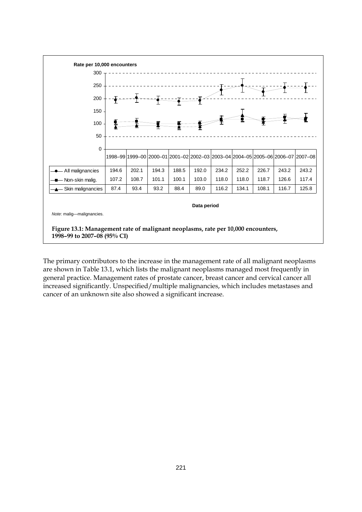

**1998–99 to 2007–08 (95% CI)**

The primary contributors to the increase in the management rate of all malignant neoplasms are shown in Table 13.1, which lists the malignant neoplasms managed most frequently in general practice. Management rates of prostate cancer, breast cancer and cervical cancer all increased significantly. Unspecified/multiple malignancies, which includes metastases and cancer of an unknown site also showed a significant increase.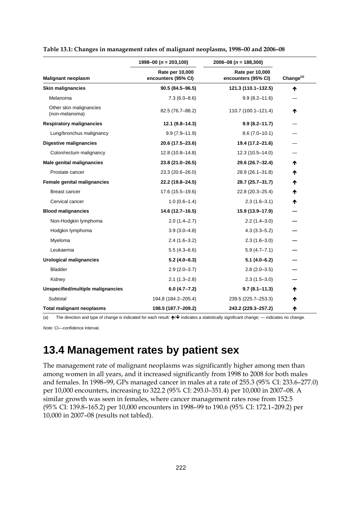|                                           | 1998-00 ( $n = 203,100$ )              | 2006-08 ( $n = 188,300$ )              | Change <sup>(a)</sup> |  |
|-------------------------------------------|----------------------------------------|----------------------------------------|-----------------------|--|
| <b>Malignant neoplasm</b>                 | Rate per 10,000<br>encounters (95% CI) | Rate per 10,000<br>encounters (95% CI) |                       |  |
| <b>Skin malignancies</b>                  | 90.5 (84.5-96.5)                       | 121.3 (110.1-132.5)                    | ₼                     |  |
| Melanoma                                  | $7.3(6.0 - 8.6)$                       | $9.9(8.2 - 11.6)$                      |                       |  |
| Other skin malignancies<br>(non-melanoma) | 82.5 (76.7-88.2)                       | 110.7 (100.1-121.4)                    | ↑                     |  |
| <b>Respiratory malignancies</b>           | $12.1(9.8-14.3)$                       | $9.9(8.2 - 11.7)$                      |                       |  |
| Lung/bronchus malignancy                  | $9.9(7.9 - 11.9)$                      | $8.6(7.0-10.1)$                        |                       |  |
| <b>Digestive malignancies</b>             | 20.6 (17.5-23.6)                       | 19.4 (17.2-21.6)                       |                       |  |
| Colon/rectum malignancy                   | $12.8(10.8 - 14.8)$                    | $12.3(10.5 - 14.0)$                    |                       |  |
| Male genital malignancies                 | 23.8 (21.0-26.5)                       | 29.6 (26.7-32.4)                       | ↑                     |  |
| Prostate cancer                           | 23.3 (20.6-26.0)                       | 28.9 (26.1-31.8)                       | Ϋ                     |  |
| Female genital malignancies               | 22.2 (19.8-24.5)                       | 28.7 (25.7-31.7)                       | ↑                     |  |
| Breast cancer                             | 17.6 (15.5-19.6)                       | 22.8 (20.3-25.4)                       | Ϋ                     |  |
| Cervical cancer                           | $1.0(0.6-1.4)$                         | $2.3(1.6-3.1)$                         | Ϋ                     |  |
| <b>Blood malignancies</b>                 | 14.6 (12.7-16.5)                       | 15.9 (13.9-17.9)                       |                       |  |
| Non-Hodgkin lymphoma                      | $2.0(1.4 - 2.7)$                       | $2.2(1.4-3.0)$                         |                       |  |
| Hodgkin lymphoma                          | $3.9(3.0-4.8)$                         | $4.3(3.3 - 5.2)$                       |                       |  |
| Myeloma                                   | $2.4(1.6-3.2)$                         | $2.3(1.6-3.0)$                         |                       |  |
| Leukaemia                                 | $5.5(4.3 - 6.6)$                       | $5.9(4.7 - 7.1)$                       |                       |  |
| <b>Urological malignancies</b>            | $5.2(4.0-6.3)$                         | $5.1(4.0-6.2)$                         |                       |  |
| <b>Bladder</b>                            | $2.9(2.0 - 3.7)$                       | $2.8(2.0-3.5)$                         |                       |  |
| Kidney                                    | $2.1(1.3-2.8)$                         | $2.3(1.5-3.0)$                         |                       |  |
| Unspecified/multiple malignancies         | $6.0(4.7 - 7.2)$                       | $9.7(8.1 - 11.3)$                      | ↑                     |  |
| Subtotal                                  | 194.8 (184.2-205.4)                    | 239.5 (225.7-253.3)                    | ₼                     |  |
| <b>Total malignant neoplasms</b>          | 198.5 (187.7-209.2)                    | 243.2 (229.3-257.2)                    | ↑                     |  |

| Table 13.1: Changes in management rates of malignant neoplasms, 1998-00 and 2006-08 |  |  |
|-------------------------------------------------------------------------------------|--|--|
|                                                                                     |  |  |

(a) The direction and type of change is indicated for each result:  $\bigwedge \bigvee$  indicates a statistically significant change; — indicates no change.

*Note:* CI—confidence interval.

#### **13.4 Management rates by patient sex**

The management rate of malignant neoplasms was significantly higher among men than among women in all years, and it increased significantly from 1998 to 2008 for both males and females. In 1998–99, GPs managed cancer in males at a rate of 255.3 (95% CI: 233.6–277.0) per 10,000 encounters, increasing to 322.2 (95% CI: 293.0–351.4) per 10,000 in 2007–08. A similar growth was seen in females, where cancer management rates rose from 152.5 (95% CI: 139.8–165.2) per 10,000 encounters in 1998–99 to 190.6 (95% CI: 172.1–209.2) per 10,000 in 2007–08 (results not tabled).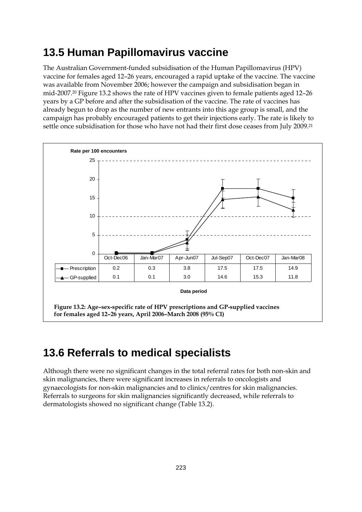### **13.5 Human Papillomavirus vaccine**

The Australian Government-funded subsidisation of the Human Papillomavirus (HPV) vaccine for females aged 12–26 years, encouraged a rapid uptake of the vaccine. The vaccine was available from November 2006; however the campaign and subsidisation began in mid-2007.20 Figure 13.2 shows the rate of HPV vaccines given to female patients aged 12–26 years by a GP before and after the subsidisation of the vaccine. The rate of vaccines has already begun to drop as the number of new entrants into this age group is small, and the campaign has probably encouraged patients to get their injections early. The rate is likely to settle once subsidisation for those who have not had their first dose ceases from July 2009.<sup>21</sup>



### **13.6 Referrals to medical specialists**

Although there were no significant changes in the total referral rates for both non-skin and skin malignancies, there were significant increases in referrals to oncologists and gynaecologists for non-skin malignancies and to clinics/centres for skin malignancies. Referrals to surgeons for skin malignancies significantly decreased, while referrals to dermatologists showed no significant change (Table 13.2).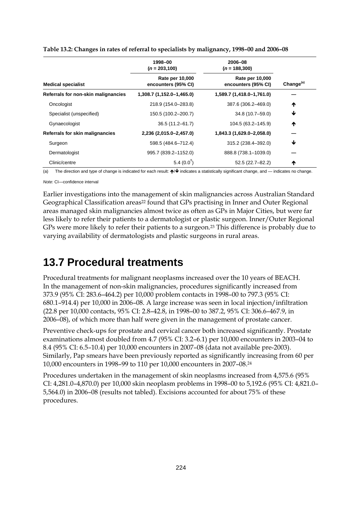|                                     | 1998-00<br>$(n = 203, 100)$            | 2006-08<br>$(n = 188, 300)$            |                       |  |
|-------------------------------------|----------------------------------------|----------------------------------------|-----------------------|--|
| <b>Medical specialist</b>           | Rate per 10,000<br>encounters (95% CI) | Rate per 10,000<br>encounters (95% CI) | Change <sup>(a)</sup> |  |
| Referrals for non-skin malignancies | 1,308.7 (1,152.0-1,465.0)              | 1,589.7 (1,418.0-1,761.0)              |                       |  |
| Oncologist                          | 218.9 (154.0-283.8)                    | 387.6 (306.2-469.0)                    | ↑                     |  |
| Specialist (unspecified)            | 150.5 (100.2-200.7)                    | 34.8 (10.7-59.0)                       | ↓                     |  |
| Gynaecologist                       | $36.5(11.2 - 61.7)$                    | 104.5 (63.2-145.9)                     | ↑                     |  |
| Referrals for skin malignancies     | 2,236 (2,015.0-2,457.0)                | 1,843.3 (1,629.0-2,058.0)              |                       |  |
| Surgeon                             | 598.5 (484.6-712.4)                    | 315.2 (238.4-392.0)                    | ↓                     |  |
| Dermatologist                       | 995.7 (839.2-1152.0)                   | 888.8 (738.1-1039.0)                   |                       |  |
| Clinic/centre                       | $5.4(0.0^{\dagger})$                   | $52.5(22.7 - 82.2)$                    | ↑                     |  |

|  |  | Table 13.2: Changes in rates of referral to specialists by malignancy, 1998-00 and 2006-08 |
|--|--|--------------------------------------------------------------------------------------------|
|  |  |                                                                                            |

(a) The direction and type of change is indicated for each result:  $\bigwedge^4$  indicates a statistically significant change, and — indicates no change.

*Note:* CI—confidence interval

Earlier investigations into the management of skin malignancies across Australian Standard Geographical Classification areas<sup>22</sup> found that GPs practising in Inner and Outer Regional areas managed skin malignancies almost twice as often as GPs in Major Cities, but were far less likely to refer their patients to a dermatologist or plastic surgeon. Inner/Outer Regional GPs were more likely to refer their patients to a surgeon.23 This difference is probably due to varying availability of dermatologists and plastic surgeons in rural areas.

#### **13.7 Procedural treatments**

Procedural treatments for malignant neoplasms increased over the 10 years of BEACH. In the management of non-skin malignancies, procedures significantly increased from 373.9 (95% CI: 283.6–464.2) per 10,000 problem contacts in 1998–00 to 797.3 (95% CI: 680.1–914.4) per 10,000 in 2006–08. A large increase was seen in local injection/infiltration (22.8 per 10,000 contacts, 95% CI: 2.8–42.8, in 1998–00 to 387.2, 95% CI: 306.6–467.9, in 2006–08), of which more than half were given in the management of prostate cancer.

Preventive check-ups for prostate and cervical cancer both increased significantly. Prostate examinations almost doubled from 4.7 (95% CI: 3.2–6.1) per 10,000 encounters in 2003–04 to 8.4 (95% CI: 6.5–10.4) per 10,000 encounters in 2007–08 (data not available pre-2003). Similarly, Pap smears have been previously reported as significantly increasing from 60 per 10,000 encounters in 1998–99 to 110 per 10,000 encounters in 2007–08.24

Procedures undertaken in the management of skin neoplasms increased from 4,575.6 (95% CI: 4,281.0–4,870.0) per 10,000 skin neoplasm problems in 1998–00 to 5,192.6 (95% CI: 4,821.0– 5,564.0) in 2006–08 (results not tabled). Excisions accounted for about 75% of these procedures.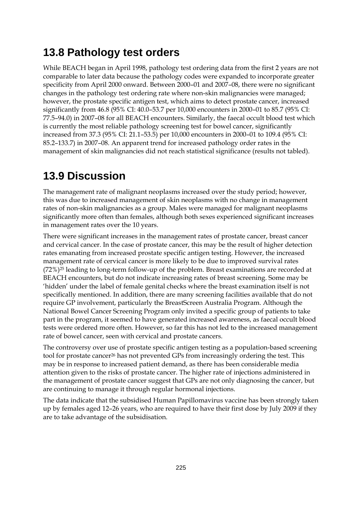#### **13.8 Pathology test orders**

While BEACH began in April 1998, pathology test ordering data from the first 2 years are not comparable to later data because the pathology codes were expanded to incorporate greater specificity from April 2000 onward. Between 2000–01 and 2007–08, there were no significant changes in the pathology test ordering rate where non-skin malignancies were managed; however, the prostate specific antigen test, which aims to detect prostate cancer, increased significantly from 46.8 (95% CI: 40.0–53.7 per 10,000 encounters in 2000–01 to 85.7 (95% CI: 77.5–94.0) in 2007–08 for all BEACH encounters. Similarly, the faecal occult blood test which is currently the most reliable pathology screening test for bowel cancer, significantly increased from 37.3 (95% CI: 21.1–53.5) per 10,000 encounters in 2000–01 to 109.4 (95% CI: 85.2–133.7) in 2007–08. An apparent trend for increased pathology order rates in the management of skin malignancies did not reach statistical significance (results not tabled).

### **13.9 Discussion**

The management rate of malignant neoplasms increased over the study period; however, this was due to increased management of skin neoplasms with no change in management rates of non-skin malignancies as a group. Males were managed for malignant neoplasms significantly more often than females, although both sexes experienced significant increases in management rates over the 10 years.

There were significant increases in the management rates of prostate cancer, breast cancer and cervical cancer. In the case of prostate cancer, this may be the result of higher detection rates emanating from increased prostate specific antigen testing. However, the increased management rate of cervical cancer is more likely to be due to improved survival rates  $(72\%)$ <sup>25</sup> leading to long-term follow-up of the problem. Breast examinations are recorded at BEACH encounters, but do not indicate increasing rates of breast screening. Some may be 'hidden' under the label of female genital checks where the breast examination itself is not specifically mentioned. In addition, there are many screening facilities available that do not require GP involvement, particularly the BreastScreen Australia Program. Although the National Bowel Cancer Screening Program only invited a specific group of patients to take part in the program, it seemed to have generated increased awareness, as faecal occult blood tests were ordered more often. However, so far this has not led to the increased management rate of bowel cancer, seen with cervical and prostate cancers.

The controversy over use of prostate specific antigen testing as a population-based screening tool for prostate cancer26 has not prevented GPs from increasingly ordering the test. This may be in response to increased patient demand, as there has been considerable media attention given to the risks of prostate cancer. The higher rate of injections administered in the management of prostate cancer suggest that GPs are not only diagnosing the cancer, but are continuing to manage it through regular hormonal injections.

The data indicate that the subsidised Human Papillomavirus vaccine has been strongly taken up by females aged 12–26 years, who are required to have their first dose by July 2009 if they are to take advantage of the subsidisation.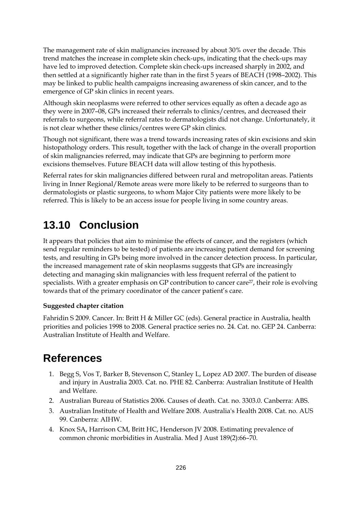The management rate of skin malignancies increased by about 30% over the decade. This trend matches the increase in complete skin check-ups, indicating that the check-ups may have led to improved detection. Complete skin check-ups increased sharply in 2002, and then settled at a significantly higher rate than in the first 5 years of BEACH (1998–2002). This may be linked to public health campaigns increasing awareness of skin cancer, and to the emergence of GP skin clinics in recent years.

Although skin neoplasms were referred to other services equally as often a decade ago as they were in 2007–08, GPs increased their referrals to clinics/centres, and decreased their referrals to surgeons, while referral rates to dermatologists did not change. Unfortunately, it is not clear whether these clinics/centres were GP skin clinics.

Though not significant, there was a trend towards increasing rates of skin excisions and skin histopathology orders. This result, together with the lack of change in the overall proportion of skin malignancies referred, may indicate that GPs are beginning to perform more excisions themselves. Future BEACH data will allow testing of this hypothesis.

Referral rates for skin malignancies differed between rural and metropolitan areas. Patients living in Inner Regional/Remote areas were more likely to be referred to surgeons than to dermatologists or plastic surgeons, to whom Major City patients were more likely to be referred. This is likely to be an access issue for people living in some country areas.

### **13.10 Conclusion**

It appears that policies that aim to minimise the effects of cancer, and the registers (which send regular reminders to be tested) of patients are increasing patient demand for screening tests, and resulting in GPs being more involved in the cancer detection process. In particular, the increased management rate of skin neoplasms suggests that GPs are increasingly detecting and managing skin malignancies with less frequent referral of the patient to specialists. With a greater emphasis on GP contribution to cancer care<sup>27</sup>, their role is evolving towards that of the primary coordinator of the cancer patient's care.

#### **Suggested chapter citation**

Fahridin S 2009. Cancer. In: Britt H & Miller GC (eds). General practice in Australia, health priorities and policies 1998 to 2008. General practice series no. 24. Cat. no. GEP 24. Canberra: Australian Institute of Health and Welfare.

### **References**

- 1. Begg S, Vos T, Barker B, Stevenson C, Stanley L, Lopez AD 2007. The burden of disease and injury in Australia 2003. Cat. no. PHE 82. Canberra: Australian Institute of Health and Welfare.
- 2. Australian Bureau of Statistics 2006. Causes of death. Cat. no. 3303.0. Canberra: ABS.
- 3. Australian Institute of Health and Welfare 2008. Australia's Health 2008. Cat. no. AUS 99. Canberra: AIHW.
- 4. Knox SA, Harrison CM, Britt HC, Henderson JV 2008. Estimating prevalence of common chronic morbidities in Australia. Med J Aust 189(2):66–70.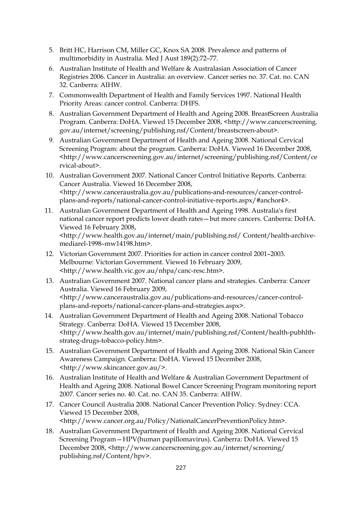- 5. Britt HC, Harrison CM, Miller GC, Knox SA 2008. Prevalence and patterns of multimorbidity in Australia. Med J Aust 189(2):72–77.
- 6. Australian Institute of Health and Welfare & Australasian Association of Cancer Registries 2006. Cancer in Australia: an overview. Cancer series no. 37. Cat. no. CAN 32. Canberra: AIHW.
- 7. Commonwealth Department of Health and Family Services 1997. National Health Priority Areas: cancer control. Canberra: DHFS.
- 8. Australian Government Department of Health and Ageing 2008. BreastScreen Australia Program. Canberra: DoHA. Viewed 15 December 2008, <http://www.cancerscreening. gov.au/internet/screening/publishing.nsf/Content/breastscreen-about>.
- 9. Australian Government Department of Health and Ageing 2008. National Cervical Screening Program: about the program. Canberra: DoHA. Viewed 16 December 2008, <http://www.cancerscreening.gov.au/internet/screening/publishing.nsf/Content/ce rvical-about>.
- 10. Australian Government 2007. National Cancer Control Initiative Reports. Canberra: Cancer Australia. Viewed 16 December 2008, <http://www.canceraustralia.gov.au/publications-and-resources/cancer-controlplans-and-reports/national-cancer-control-initiative-reports.aspx/#anchor4>.
- 11. Australian Government Department of Health and Ageing 1998. Australia's first national cancer report predicts lower death rates—but more cancers. Canberra: DoHA. Viewed 16 February 2008, <http://www.health.gov.au/internet/main/publishing.nsf/ Content/health-archivemediarel-1998–mw14198.htm>.
- 12. Victorian Government 2007. Priorities for action in cancer control 2001–2003. Melbourne: Victorian Government. Viewed 16 February 2009, <http://www.health.vic.gov.au/nhpa/canc-resc.htm>.
- 13. Australian Government 2007. National cancer plans and strategies. Canberra: Cancer Australia. Viewed 16 February 2009, <http://www.canceraustralia.gov.au/publications-and-resources/cancer-controlplans-and-reports/national-cancer-plans-and-strategies.aspx>.
- 14. Australian Government Department of Health and Ageing 2008. National Tobacco Strategy. Canberra: DoHA. Viewed 15 December 2008, <http://www.health.gov.au/internet/main/publishing.nsf/Content/health-pubhlthstrateg-drugs-tobacco-policy.htm>.
- 15. Australian Government Department of Health and Ageing 2008. National Skin Cancer Awareness Campaign. Canberra: DoHA. Viewed 15 December 2008, <http://www.skincancer.gov.au/>.
- 16. Australian Institute of Health and Welfare & Australian Government Department of Health and Ageing 2008. National Bowel Cancer Screening Program monitoring report 2007. Cancer series no. 40. Cat. no. CAN 35. Canberra: AIHW.
- 17. Cancer Council Australia 2008. National Cancer Prevention Policy. Sydney: CCA. Viewed 15 December 2008, <http://www.cancer.org.au/Policy/NationalCancerPreventionPolicy.htm>.
- 18. Australian Government Department of Health and Ageing 2008. National Cervical Screening Program—HPV(human papillomavirus). Canberra: DoHA. Viewed 15 December 2008, <http://www.cancerscreening.gov.au/internet/screening/ publishing.nsf/Content/hpv>.